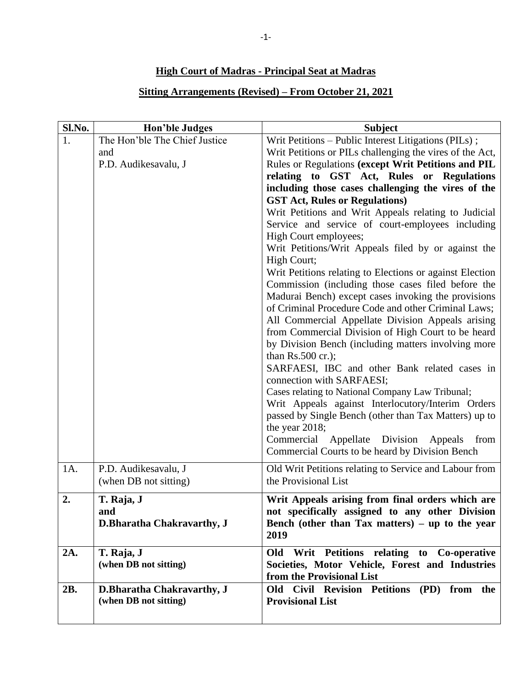## **High Court of Madras - Principal Seat at Madras**

## **Sitting Arrangements (Revised) – From October 21, 2021**

| Sl.No. | <b>Hon'ble Judges</b>             | <b>Subject</b>                                                                                           |
|--------|-----------------------------------|----------------------------------------------------------------------------------------------------------|
| 1.     | The Hon'ble The Chief Justice     | Writ Petitions – Public Interest Litigations (PILs);                                                     |
|        | and                               | Writ Petitions or PILs challenging the vires of the Act,                                                 |
|        | P.D. Audikesavalu, J              | Rules or Regulations (except Writ Petitions and PIL                                                      |
|        |                                   | relating to GST Act, Rules or Regulations                                                                |
|        |                                   | including those cases challenging the vires of the                                                       |
|        |                                   | <b>GST Act, Rules or Regulations)</b>                                                                    |
|        |                                   | Writ Petitions and Writ Appeals relating to Judicial                                                     |
|        |                                   | Service and service of court-employees including                                                         |
|        |                                   | High Court employees;                                                                                    |
|        |                                   | Writ Petitions/Writ Appeals filed by or against the                                                      |
|        |                                   | High Court;                                                                                              |
|        |                                   | Writ Petitions relating to Elections or against Election                                                 |
|        |                                   | Commission (including those cases filed before the                                                       |
|        |                                   | Madurai Bench) except cases invoking the provisions                                                      |
|        |                                   | of Criminal Procedure Code and other Criminal Laws;<br>All Commercial Appellate Division Appeals arising |
|        |                                   | from Commercial Division of High Court to be heard                                                       |
|        |                                   | by Division Bench (including matters involving more                                                      |
|        |                                   | than $Rs.500$ cr.);                                                                                      |
|        |                                   | SARFAESI, IBC and other Bank related cases in                                                            |
|        |                                   | connection with SARFAESI;                                                                                |
|        |                                   | Cases relating to National Company Law Tribunal;                                                         |
|        |                                   | Writ Appeals against Interlocutory/Interim Orders                                                        |
|        |                                   | passed by Single Bench (other than Tax Matters) up to                                                    |
|        |                                   | the year 2018;                                                                                           |
|        |                                   | Commercial Appellate Division Appeals<br>from                                                            |
|        |                                   | Commercial Courts to be heard by Division Bench                                                          |
| 1A.    | P.D. Audikesavalu, J              | Old Writ Petitions relating to Service and Labour from                                                   |
|        | (when DB not sitting)             | the Provisional List                                                                                     |
|        |                                   |                                                                                                          |
| 2.     | T. Raja, J                        | Writ Appeals arising from final orders which are                                                         |
|        | and<br>D.Bharatha Chakravarthy, J | not specifically assigned to any other Division<br>Bench (other than Tax matters) $-$ up to the year     |
|        |                                   | 2019                                                                                                     |
| 2A.    | T. Raja, J                        | Old Writ Petitions relating to Co-operative                                                              |
|        | (when DB not sitting)             | Societies, Motor Vehicle, Forest and Industries                                                          |
|        |                                   | from the Provisional List                                                                                |
| 2B.    | D.Bharatha Chakravarthy, J        | Old Civil Revision Petitions (PD) from<br>the                                                            |
|        | (when DB not sitting)             | <b>Provisional List</b>                                                                                  |
|        |                                   |                                                                                                          |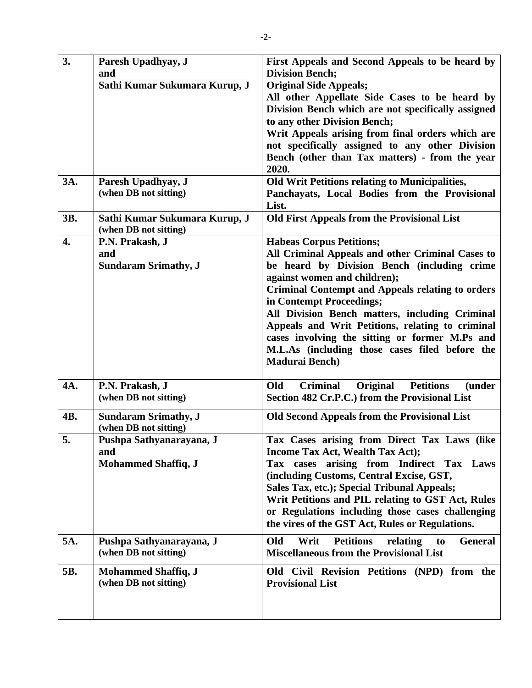| 3.  | Paresh Upadhyay, J                                     | First Appeals and Second Appeals to be heard by                                                    |
|-----|--------------------------------------------------------|----------------------------------------------------------------------------------------------------|
|     | and                                                    | <b>Division Bench;</b>                                                                             |
|     | Sathi Kumar Sukumara Kurup, J                          | <b>Original Side Appeals;</b>                                                                      |
|     |                                                        | All other Appellate Side Cases to be heard by                                                      |
|     |                                                        | Division Bench which are not specifically assigned                                                 |
|     |                                                        | to any other Division Bench;                                                                       |
|     |                                                        | Writ Appeals arising from final orders which are                                                   |
|     |                                                        | not specifically assigned to any other Division                                                    |
|     |                                                        | Bench (other than Tax matters) - from the year<br>2020.                                            |
| 3A. | Paresh Upadhyay, J                                     | <b>Old Writ Petitions relating to Municipalities,</b>                                              |
|     | (when DB not sitting)                                  | Panchayats, Local Bodies from the Provisional                                                      |
|     |                                                        | List.                                                                                              |
| 3B. | Sathi Kumar Sukumara Kurup, J<br>(when DB not sitting) | <b>Old First Appeals from the Provisional List</b>                                                 |
| 4.  | P.N. Prakash, J                                        | <b>Habeas Corpus Petitions;</b>                                                                    |
|     | and                                                    | All Criminal Appeals and other Criminal Cases to                                                   |
|     | <b>Sundaram Srimathy, J</b>                            | be heard by Division Bench (including crime                                                        |
|     |                                                        | against women and children);                                                                       |
|     |                                                        | <b>Criminal Contempt and Appeals relating to orders</b>                                            |
|     |                                                        | in Contempt Proceedings;                                                                           |
|     |                                                        | All Division Bench matters, including Criminal                                                     |
|     |                                                        | Appeals and Writ Petitions, relating to criminal<br>cases involving the sitting or former M.Ps and |
|     |                                                        | M.L.As (including those cases filed before the                                                     |
|     |                                                        | <b>Madurai Bench)</b>                                                                              |
|     |                                                        |                                                                                                    |
| 4A. | P.N. Prakash, J                                        | <b>Criminal</b><br>Original<br><b>Petitions</b><br>Old<br><i>(under)</i>                           |
|     | (when DB not sitting)                                  | Section 482 Cr.P.C.) from the Provisional List                                                     |
| 4B. | <b>Sundaram Srimathy, J</b>                            | <b>Old Second Appeals from the Provisional List</b>                                                |
|     | (when DB not sitting)                                  |                                                                                                    |
| 5.  | Pushpa Sathyanarayana, J                               | Tax Cases arising from Direct Tax Laws (like                                                       |
|     | and                                                    | Income Tax Act, Wealth Tax Act);                                                                   |
|     | <b>Mohammed Shaffiq, J</b>                             | Tax cases arising from Indirect Tax Laws                                                           |
|     |                                                        | (including Customs, Central Excise, GST,                                                           |
|     |                                                        | Sales Tax, etc.); Special Tribunal Appeals;                                                        |
|     |                                                        | Writ Petitions and PIL relating to GST Act, Rules                                                  |
|     |                                                        | or Regulations including those cases challenging                                                   |
|     |                                                        | the vires of the GST Act, Rules or Regulations.                                                    |
| 5A. | Pushpa Sathyanarayana, J                               | Writ<br><b>Petitions</b><br>Old<br>relating<br><b>General</b><br>to                                |
|     | (when DB not sitting)                                  | <b>Miscellaneous from the Provisional List</b>                                                     |
| 5B. | <b>Mohammed Shaffiq, J</b>                             | Old Civil Revision Petitions (NPD) from the                                                        |
|     | (when DB not sitting)                                  | <b>Provisional List</b>                                                                            |
|     |                                                        |                                                                                                    |
|     |                                                        |                                                                                                    |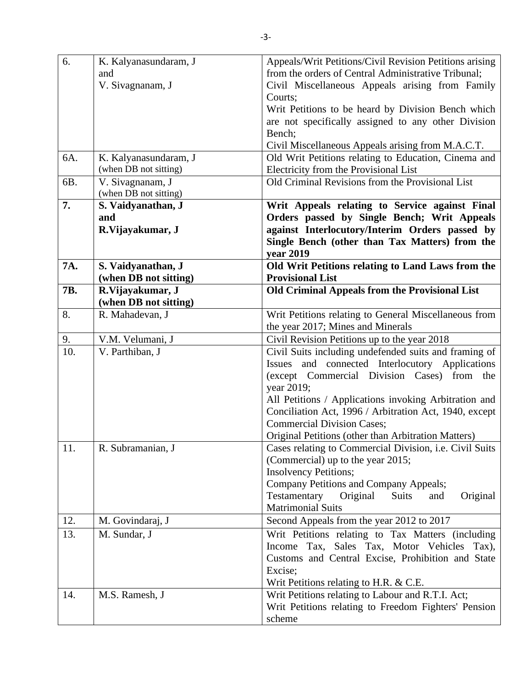| 6.  | K. Kalyanasundaram, J                     | Appeals/Writ Petitions/Civil Revision Petitions arising           |
|-----|-------------------------------------------|-------------------------------------------------------------------|
|     | and                                       | from the orders of Central Administrative Tribunal;               |
|     | V. Sivagnanam, J                          | Civil Miscellaneous Appeals arising from Family                   |
|     |                                           | Courts;                                                           |
|     |                                           | Writ Petitions to be heard by Division Bench which                |
|     |                                           | are not specifically assigned to any other Division               |
|     |                                           | Bench;                                                            |
|     |                                           | Civil Miscellaneous Appeals arising from M.A.C.T.                 |
| 6A. | K. Kalyanasundaram, J                     | Old Writ Petitions relating to Education, Cinema and              |
|     | (when DB not sitting)                     | Electricity from the Provisional List                             |
| 6B. | V. Sivagnanam, J<br>(when DB not sitting) | Old Criminal Revisions from the Provisional List                  |
| 7.  | S. Vaidyanathan, J                        | Writ Appeals relating to Service against Final                    |
|     | and                                       | Orders passed by Single Bench; Writ Appeals                       |
|     | R.Vijayakumar, J                          | against Interlocutory/Interim Orders passed by                    |
|     |                                           | Single Bench (other than Tax Matters) from the                    |
|     |                                           | year 2019                                                         |
| 7A. | S. Vaidyanathan, J                        | Old Writ Petitions relating to Land Laws from the                 |
|     | (when DB not sitting)                     | <b>Provisional List</b>                                           |
| 7B. | R.Vijayakumar, J                          | <b>Old Criminal Appeals from the Provisional List</b>             |
|     | (when DB not sitting)                     |                                                                   |
| 8.  | R. Mahadevan, J                           | Writ Petitions relating to General Miscellaneous from             |
|     |                                           | the year 2017; Mines and Minerals                                 |
| 9.  | V.M. Velumani, J                          | Civil Revision Petitions up to the year 2018                      |
| 10. | V. Parthiban, J                           | Civil Suits including undefended suits and framing of             |
|     |                                           | Issues and connected Interlocutory Applications                   |
|     |                                           | (except Commercial Division Cases) from the                       |
|     |                                           | year 2019;                                                        |
|     |                                           | All Petitions / Applications invoking Arbitration and             |
|     |                                           | Conciliation Act, 1996 / Arbitration Act, 1940, except            |
|     |                                           | <b>Commercial Division Cases;</b>                                 |
|     |                                           | Original Petitions (other than Arbitration Matters)               |
| 11. | R. Subramanian, J                         | Cases relating to Commercial Division, <i>i.e.</i> Civil Suits    |
|     |                                           | (Commercial) up to the year 2015;<br><b>Insolvency Petitions;</b> |
|     |                                           | Company Petitions and Company Appeals;                            |
|     |                                           | Testamentary<br>Original<br><b>Suits</b><br>Original<br>and       |
|     |                                           | <b>Matrimonial Suits</b>                                          |
| 12. | M. Govindaraj, J                          | Second Appeals from the year 2012 to 2017                         |
| 13. | M. Sundar, J                              | Writ Petitions relating to Tax Matters (including                 |
|     |                                           | Income Tax, Sales Tax, Motor Vehicles Tax),                       |
|     |                                           | Customs and Central Excise, Prohibition and State                 |
|     |                                           | Excise;                                                           |
|     |                                           | Writ Petitions relating to H.R. & C.E.                            |
| 14. | M.S. Ramesh, J                            | Writ Petitions relating to Labour and R.T.I. Act;                 |
|     |                                           | Writ Petitions relating to Freedom Fighters' Pension              |
|     |                                           | scheme                                                            |
|     |                                           |                                                                   |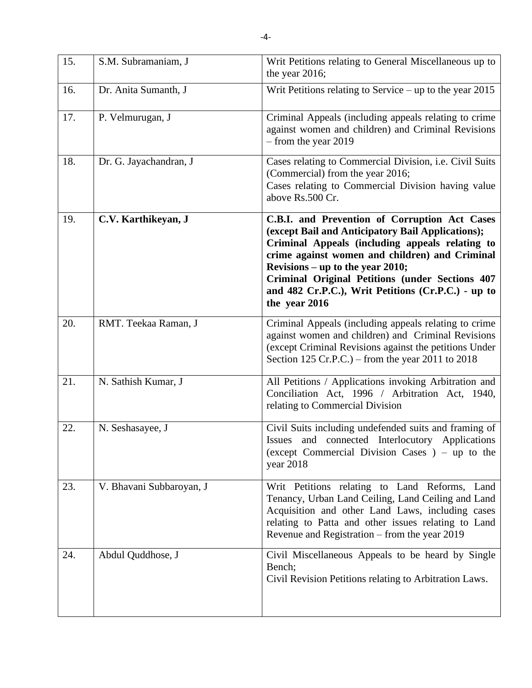| 15. | S.M. Subramaniam, J      | Writ Petitions relating to General Miscellaneous up to<br>the year 2016;                                                                                                                                                                                                                                                                                              |
|-----|--------------------------|-----------------------------------------------------------------------------------------------------------------------------------------------------------------------------------------------------------------------------------------------------------------------------------------------------------------------------------------------------------------------|
| 16. | Dr. Anita Sumanth, J     | Writ Petitions relating to Service – up to the year $2015$                                                                                                                                                                                                                                                                                                            |
| 17. | P. Velmurugan, J         | Criminal Appeals (including appeals relating to crime<br>against women and children) and Criminal Revisions<br>$-$ from the year 2019                                                                                                                                                                                                                                 |
| 18. | Dr. G. Jayachandran, J   | Cases relating to Commercial Division, i.e. Civil Suits<br>(Commercial) from the year 2016;<br>Cases relating to Commercial Division having value<br>above Rs.500 Cr.                                                                                                                                                                                                 |
| 19. | C.V. Karthikeyan, J      | C.B.I. and Prevention of Corruption Act Cases<br>(except Bail and Anticipatory Bail Applications);<br>Criminal Appeals (including appeals relating to<br>crime against women and children) and Criminal<br>Revisions – up to the year 2010;<br>Criminal Original Petitions (under Sections 407<br>and 482 Cr.P.C.), Writ Petitions (Cr.P.C.) - up to<br>the year 2016 |
| 20. | RMT. Teekaa Raman, J     | Criminal Appeals (including appeals relating to crime<br>against women and children) and Criminal Revisions<br>(except Criminal Revisions against the petitions Under<br>Section 125 Cr.P.C.) – from the year 2011 to 2018                                                                                                                                            |
| 21. | N. Sathish Kumar, J      | All Petitions / Applications invoking Arbitration and<br>Conciliation Act, 1996 / Arbitration Act, 1940,<br>relating to Commercial Division                                                                                                                                                                                                                           |
| 22. | N. Seshasayee, J         | Civil Suits including undefended suits and framing of<br>Issues and connected Interlocutory Applications<br>(except Commercial Division Cases $)$ – up to the<br>year 2018                                                                                                                                                                                            |
| 23. | V. Bhavani Subbaroyan, J | Writ Petitions relating to Land Reforms, Land<br>Tenancy, Urban Land Ceiling, Land Ceiling and Land<br>Acquisition and other Land Laws, including cases<br>relating to Patta and other issues relating to Land<br>Revenue and Registration – from the year 2019                                                                                                       |
| 24. | Abdul Quddhose, J        | Civil Miscellaneous Appeals to be heard by Single<br>Bench;<br>Civil Revision Petitions relating to Arbitration Laws.                                                                                                                                                                                                                                                 |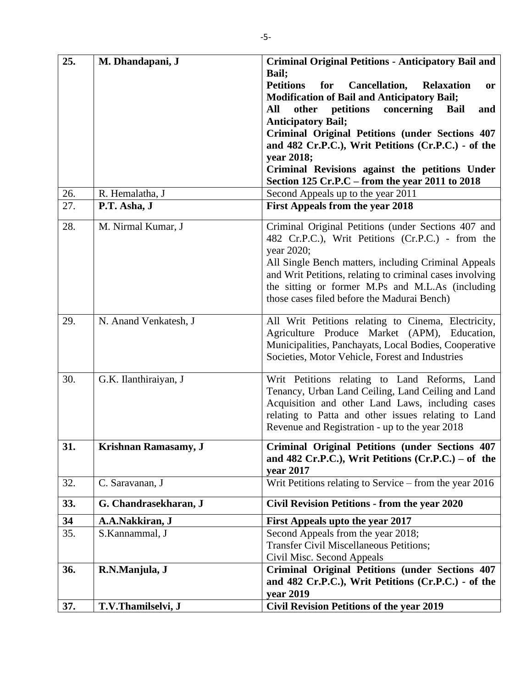| 25. | M. Dhandapani, J      | <b>Criminal Original Petitions - Anticipatory Bail and</b><br>Bail;                                      |
|-----|-----------------------|----------------------------------------------------------------------------------------------------------|
|     |                       | <b>Petitions</b><br>Cancellation,<br>for<br><b>Relaxation</b><br>or                                      |
|     |                       | <b>Modification of Bail and Anticipatory Bail;</b>                                                       |
|     |                       | All<br>other petitions<br>concerning<br><b>Bail</b><br>and<br><b>Anticipatory Bail;</b>                  |
|     |                       | <b>Criminal Original Petitions (under Sections 407</b>                                                   |
|     |                       | and 482 Cr.P.C.), Writ Petitions (Cr.P.C.) - of the                                                      |
|     |                       | year 2018;                                                                                               |
|     |                       | Criminal Revisions against the petitions Under                                                           |
| 26. | R. Hemalatha, J       | Section 125 Cr.P.C – from the year 2011 to 2018<br>Second Appeals up to the year 2011                    |
| 27. | P.T. Asha, J          | <b>First Appeals from the year 2018</b>                                                                  |
|     |                       |                                                                                                          |
| 28. | M. Nirmal Kumar, J    | Criminal Original Petitions (under Sections 407 and<br>482 Cr.P.C.), Writ Petitions (Cr.P.C.) - from the |
|     |                       | year 2020;                                                                                               |
|     |                       | All Single Bench matters, including Criminal Appeals                                                     |
|     |                       | and Writ Petitions, relating to criminal cases involving                                                 |
|     |                       | the sitting or former M.Ps and M.L.As (including                                                         |
|     |                       | those cases filed before the Madurai Bench)                                                              |
| 29. | N. Anand Venkatesh, J | All Writ Petitions relating to Cinema, Electricity,                                                      |
|     |                       | Agriculture Produce Market (APM), Education,                                                             |
|     |                       | Municipalities, Panchayats, Local Bodies, Cooperative<br>Societies, Motor Vehicle, Forest and Industries |
|     |                       |                                                                                                          |
| 30. | G.K. Ilanthiraiyan, J | Writ Petitions relating to Land Reforms, Land                                                            |
|     |                       | Tenancy, Urban Land Ceiling, Land Ceiling and Land                                                       |
|     |                       | Acquisition and other Land Laws, including cases<br>relating to Patta and other issues relating to Land  |
|     |                       | Revenue and Registration - up to the year 2018                                                           |
| 31. | Krishnan Ramasamy, J  | <b>Criminal Original Petitions (under Sections 407</b>                                                   |
|     |                       | and 482 Cr.P.C.), Writ Petitions $(Cr.P.C.) - of the$                                                    |
|     |                       | year 2017                                                                                                |
| 32. | C. Saravanan, J       | Writ Petitions relating to Service $-$ from the year 2016                                                |
| 33. | G. Chandrasekharan, J | <b>Civil Revision Petitions - from the year 2020</b>                                                     |
| 34  | A.A.Nakkiran, J       | First Appeals upto the year 2017                                                                         |
| 35. | S.Kannammal, J        | Second Appeals from the year 2018;                                                                       |
|     |                       | <b>Transfer Civil Miscellaneous Petitions;</b><br>Civil Misc. Second Appeals                             |
| 36. | R.N.Manjula, J        | <b>Criminal Original Petitions (under Sections 407</b>                                                   |
|     |                       | and 482 Cr.P.C.), Writ Petitions (Cr.P.C.) - of the                                                      |
|     |                       | year 2019                                                                                                |
| 37. | T.V.Thamilselvi, J    | <b>Civil Revision Petitions of the year 2019</b>                                                         |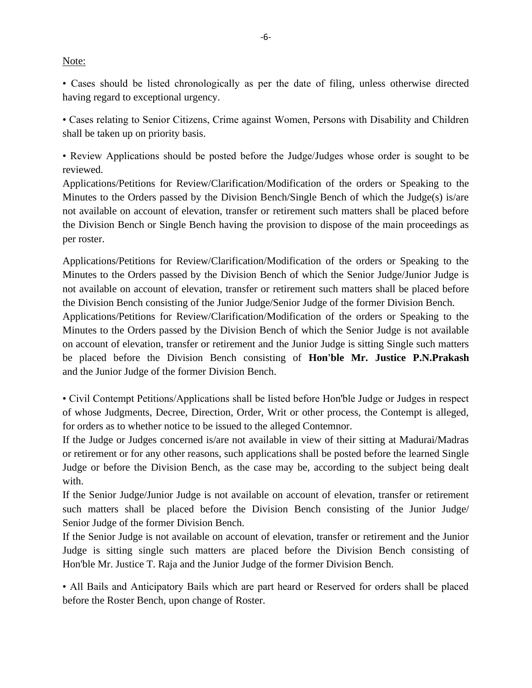## Note:

• Cases should be listed chronologically as per the date of filing, unless otherwise directed having regard to exceptional urgency.

• Cases relating to Senior Citizens, Crime against Women, Persons with Disability and Children shall be taken up on priority basis.

• Review Applications should be posted before the Judge/Judges whose order is sought to be reviewed.

Applications/Petitions for Review/Clarification/Modification of the orders or Speaking to the Minutes to the Orders passed by the Division Bench/Single Bench of which the Judge(s) is/are not available on account of elevation, transfer or retirement such matters shall be placed before the Division Bench or Single Bench having the provision to dispose of the main proceedings as per roster.

Applications/Petitions for Review/Clarification/Modification of the orders or Speaking to the Minutes to the Orders passed by the Division Bench of which the Senior Judge/Junior Judge is not available on account of elevation, transfer or retirement such matters shall be placed before the Division Bench consisting of the Junior Judge/Senior Judge of the former Division Bench.

Applications/Petitions for Review/Clarification/Modification of the orders or Speaking to the Minutes to the Orders passed by the Division Bench of which the Senior Judge is not available on account of elevation, transfer or retirement and the Junior Judge is sitting Single such matters be placed before the Division Bench consisting of **Hon'ble Mr. Justice P.N.Prakash** and the Junior Judge of the former Division Bench.

• Civil Contempt Petitions/Applications shall be listed before Hon'ble Judge or Judges in respect of whose Judgments, Decree, Direction, Order, Writ or other process, the Contempt is alleged, for orders as to whether notice to be issued to the alleged Contemnor.

If the Judge or Judges concerned is/are not available in view of their sitting at Madurai/Madras or retirement or for any other reasons, such applications shall be posted before the learned Single Judge or before the Division Bench, as the case may be, according to the subject being dealt with.

If the Senior Judge/Junior Judge is not available on account of elevation, transfer or retirement such matters shall be placed before the Division Bench consisting of the Junior Judge/ Senior Judge of the former Division Bench.

If the Senior Judge is not available on account of elevation, transfer or retirement and the Junior Judge is sitting single such matters are placed before the Division Bench consisting of Hon'ble Mr. Justice T. Raja and the Junior Judge of the former Division Bench.

• All Bails and Anticipatory Bails which are part heard or Reserved for orders shall be placed before the Roster Bench, upon change of Roster.